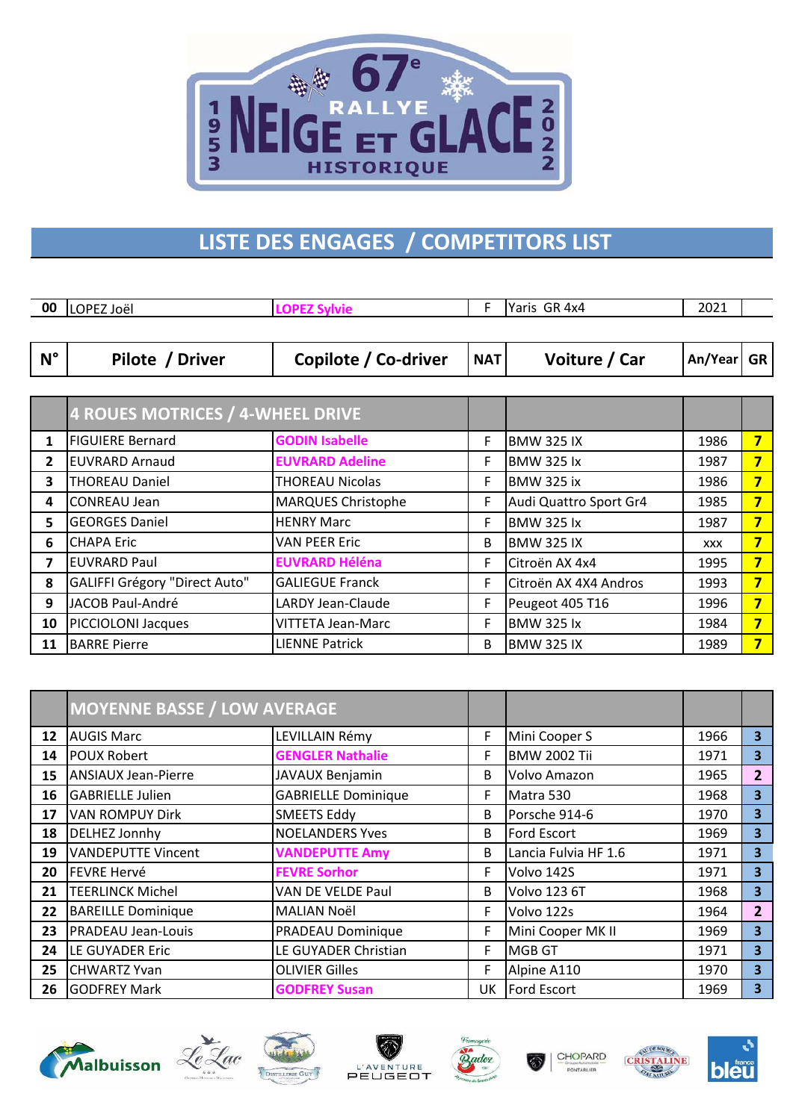

## **LISTE DES ENGAGES / COMPETITORS LIST**

| 00           | LOPEZ Joël                              | <b>LOPEZ Sylvie</b>       | F          | Yaris GR 4x4           | 2021       |           |  |
|--------------|-----------------------------------------|---------------------------|------------|------------------------|------------|-----------|--|
|              |                                         |                           |            |                        |            |           |  |
| $N^{\circ}$  | Pilote / Driver                         | Copilote / Co-driver      | <b>NAT</b> | Voiture / Car          | An/Year    | <b>GR</b> |  |
|              |                                         |                           |            |                        |            |           |  |
|              | <b>4 ROUES MOTRICES / 4-WHEEL DRIVE</b> |                           |            |                        |            |           |  |
| $\mathbf{1}$ | <b>FIGUIERE Bernard</b>                 | <b>GODIN Isabelle</b>     | F          | <b>BMW 325 IX</b>      | 1986       | 7         |  |
| $\mathbf{2}$ | <b>EUVRARD Arnaud</b>                   | <b>EUVRARD Adeline</b>    | F          | <b>BMW 325 lx</b>      | 1987       | 7         |  |
| 3            | <b>THOREAU Daniel</b>                   | THOREAU Nicolas           | F.         | <b>BMW 325 ix</b>      | 1986       | 7         |  |
| 4            | <b>CONREAU Jean</b>                     | <b>MARQUES Christophe</b> | F          | Audi Quattro Sport Gr4 | 1985       | 7         |  |
| 5.           | <b>GEORGES Daniel</b>                   | <b>HENRY Marc</b>         | F          | <b>BMW 325 lx</b>      | 1987       | 7         |  |
| 6            | <b>CHAPA Eric</b>                       | <b>VAN PEER Eric</b>      | B          | <b>BMW 325 IX</b>      | <b>XXX</b> | 7         |  |
| 7            | <b>EUVRARD Paul</b>                     | <b>EUVRARD Héléna</b>     | F.         | Citroën AX 4x4         | 1995       | 7         |  |
| 8            | GALIFFI Grégory "Direct Auto"           | <b>GALIEGUE Franck</b>    | F          | Citroën AX 4X4 Andros  | 1993       | 7         |  |
| 9            | JACOB Paul-André                        | LARDY Jean-Claude         | F          | Peugeot 405 T16        | 1996       | 7         |  |
| 10           | PICCIOLONI Jacques                      | VITTETA Jean-Marc         | F          | <b>BMW 325 lx</b>      | 1984       | 7         |  |
| 11           | <b>BARRE Pierre</b>                     | <b>LIENNE Patrick</b>     | B          | <b>BMW 325 IX</b>      | 1989       | 7         |  |

|    | <b>MOYENNE BASSE / LOW AVERAGE</b> |                            |    |                      |      |                         |
|----|------------------------------------|----------------------------|----|----------------------|------|-------------------------|
| 12 | <b>AUGIS Marc</b>                  | LEVILLAIN Rémy             | F  | Mini Cooper S        | 1966 | $\overline{\mathbf{3}}$ |
| 14 | <b>POUX Robert</b>                 | <b>GENGLER Nathalie</b>    | F  | <b>BMW 2002 Tii</b>  | 1971 | 3                       |
| 15 | <b>ANSIAUX Jean-Pierre</b>         | <b>JAVAUX Benjamin</b>     | B  | Volvo Amazon         | 1965 | 2 <sup>2</sup>          |
| 16 | <b>GABRIELLE Julien</b>            | <b>GABRIELLE Dominique</b> | F  | Matra 530            | 1968 | $\overline{\mathbf{3}}$ |
| 17 | <b>VAN ROMPUY Dirk</b>             | <b>SMEETS Eddy</b>         | B  | Porsche 914-6        | 1970 | $\overline{\mathbf{3}}$ |
| 18 | <b>DELHEZ Jonnhy</b>               | <b>NOELANDERS Yves</b>     | B  | Ford Escort          | 1969 | 3                       |
| 19 | <b>VANDEPUTTE Vincent</b>          | <b>VANDEPUTTE Amy</b>      | B  | Lancia Fulvia HF 1.6 | 1971 | 3                       |
| 20 | <b>FEVRE Hervé</b>                 | <b>FEVRE Sorhor</b>        | F  | Volvo 142S           | 1971 | $\overline{\mathbf{3}}$ |
| 21 | <b>TEERLINCK Michel</b>            | VAN DE VELDE Paul          | B  | <b>Volvo 123 6T</b>  | 1968 | 3                       |
| 22 | <b>BAREILLE Dominique</b>          | MALIAN Noël                | F  | Volvo 122s           | 1964 | 2 <sup>1</sup>          |
| 23 | <b>PRADEAU Jean-Louis</b>          | PRADEAU Dominique          | F  | Mini Cooper MK II    | 1969 | 3                       |
| 24 | LE GUYADER Eric                    | LE GUYADER Christian       | F  | <b>MGB GT</b>        | 1971 | $\overline{\mathbf{3}}$ |
| 25 | <b>CHWARTZ Yvan</b>                | <b>OLIVIER Gilles</b>      | F  | Alpine A110          | 1970 | $\overline{\mathbf{3}}$ |
| 26 | <b>GODFREY Mark</b>                | <b>GODFREY Susan</b>       | UK | Ford Escort          | 1969 | 3                       |













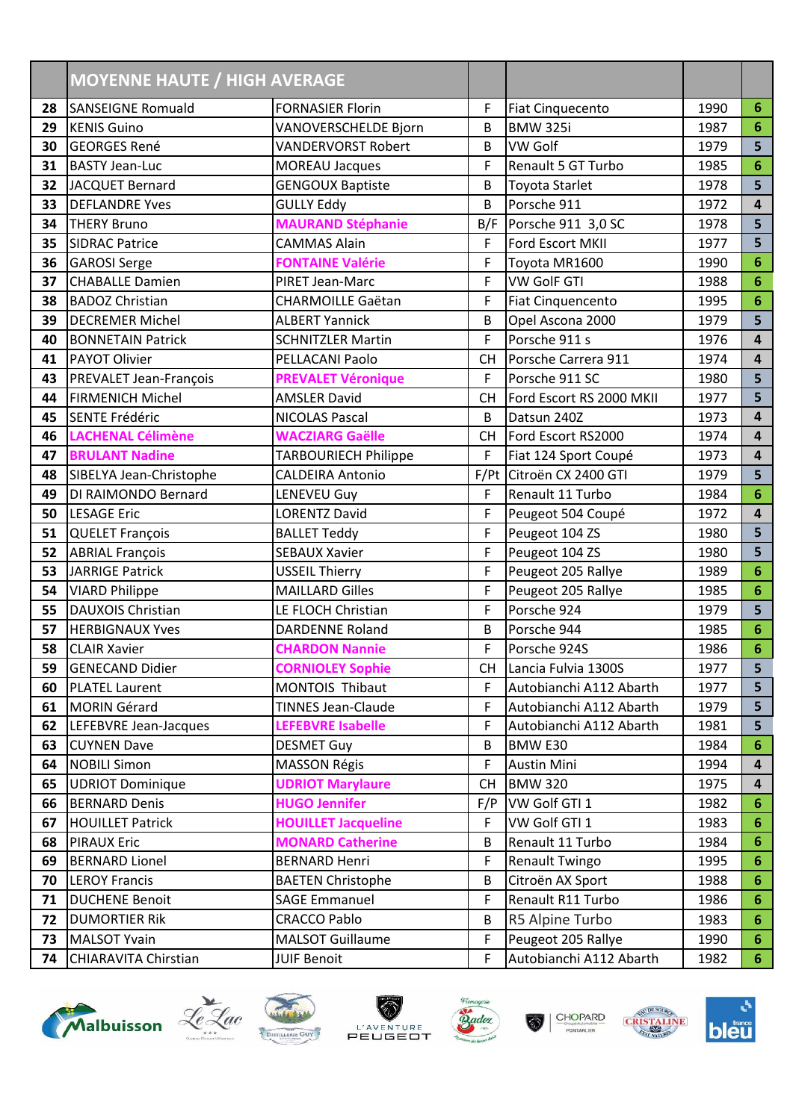|    | <b>MOYENNE HAUTE / HIGH AVERAGE</b> |                            |           |                          |      |                         |
|----|-------------------------------------|----------------------------|-----------|--------------------------|------|-------------------------|
| 28 | <b>SANSEIGNE Romuald</b>            | <b>FORNASIER Florin</b>    | F         | <b>Fiat Cinquecento</b>  | 1990 | 6                       |
| 29 | <b>KENIS Guino</b>                  | VANOVERSCHELDE Bjorn       | В         | <b>BMW 325i</b>          | 1987 | 6                       |
| 30 | <b>GEORGES René</b>                 | <b>VANDERVORST Robert</b>  | B         | VW Golf                  | 1979 | 5                       |
| 31 | <b>BASTY Jean-Luc</b>               | <b>MOREAU Jacques</b>      | F         | Renault 5 GT Turbo       | 1985 | 6                       |
| 32 | <b>JACQUET Bernard</b>              | <b>GENGOUX Baptiste</b>    | B         | Toyota Starlet           | 1978 | 5                       |
| 33 | <b>DEFLANDRE Yves</b>               | <b>GULLY Eddy</b>          | B         | Porsche 911              | 1972 | $\overline{\mathbf{4}}$ |
| 34 | <b>THERY Bruno</b>                  | <b>MAURAND Stéphanie</b>   | B/F       | Porsche 911 3,0 SC       | 1978 | 5                       |
| 35 | <b>SIDRAC Patrice</b>               | <b>CAMMAS Alain</b>        | F         | Ford Escort MKII         | 1977 | 5                       |
| 36 | <b>GAROSI Serge</b>                 | <b>FONTAINE Valérie</b>    | F         | Toyota MR1600            | 1990 | 6                       |
| 37 | <b>CHABALLE Damien</b>              | PIRET Jean-Marc            | F         | <b>VW GolF GTI</b>       | 1988 | $6\phantom{1}6$         |
| 38 | <b>BADOZ Christian</b>              | <b>CHARMOILLE Gaëtan</b>   | F         | <b>Fiat Cinquencento</b> | 1995 | $6\phantom{1}6$         |
| 39 | <b>DECREMER Michel</b>              | <b>ALBERT Yannick</b>      | B         | Opel Ascona 2000         | 1979 | 5                       |
| 40 | <b>BONNETAIN Patrick</b>            | <b>SCHNITZLER Martin</b>   | F         | Porsche 911 s            | 1976 | $\overline{\mathbf{4}}$ |
| 41 | <b>PAYOT Olivier</b>                | PELLACANI Paolo            | <b>CH</b> | Porsche Carrera 911      | 1974 | $\overline{\mathbf{4}}$ |
| 43 | PREVALET Jean-François              | <b>PREVALET Véronique</b>  | F         | Porsche 911 SC           | 1980 | 5                       |
| 44 | <b>FIRMENICH Michel</b>             | <b>AMSLER David</b>        | <b>CH</b> | Ford Escort RS 2000 MKII | 1977 | 5                       |
| 45 | SENTE Frédéric                      | <b>NICOLAS Pascal</b>      | B         | Datsun 240Z              | 1973 | $\overline{\mathbf{4}}$ |
| 46 | <b>LACHENAL Célimène</b>            | <b>WACZIARG Gaëlle</b>     | <b>CH</b> | Ford Escort RS2000       | 1974 | $\overline{4}$          |
| 47 | <b>BRULANT Nadine</b>               | TARBOURIECH Philippe       | F         | Fiat 124 Sport Coupé     | 1973 | $\overline{\mathbf{4}}$ |
| 48 | SIBELYA Jean-Christophe             | <b>CALDEIRA Antonio</b>    | F/Pt      | Citroën CX 2400 GTI      | 1979 | 5                       |
| 49 | DI RAIMONDO Bernard                 | LENEVEU Guy                | F         | Renault 11 Turbo         | 1984 | 6                       |
| 50 | <b>LESAGE Eric</b>                  | <b>LORENTZ David</b>       | F         | Peugeot 504 Coupé        | 1972 | $\overline{\mathbf{4}}$ |
| 51 | <b>QUELET François</b>              | <b>BALLET Teddy</b>        | F         | Peugeot 104 ZS           | 1980 | 5                       |
| 52 | <b>ABRIAL François</b>              | <b>SEBAUX Xavier</b>       | F         | Peugeot 104 ZS           | 1980 | 5                       |
| 53 | <b>JARRIGE Patrick</b>              | <b>USSEIL Thierry</b>      | F         | Peugeot 205 Rallye       | 1989 | $6\phantom{1}6$         |
| 54 | <b>VIARD Philippe</b>               | <b>MAILLARD Gilles</b>     | F         | Peugeot 205 Rallye       | 1985 | $6\phantom{1}6$         |
| 55 | <b>DAUXOIS Christian</b>            | LE FLOCH Christian         | F         | Porsche 924              | 1979 | 5                       |
| 57 | <b>HERBIGNAUX Yves</b>              | <b>DARDENNE Roland</b>     | B         | Porsche 944              | 1985 | $6\phantom{1}6$         |
| 58 | <b>CLAIR Xavier</b>                 | <b>CHARDON Nannie</b>      | F         | Porsche 924S             | 1986 | $6\phantom{1}6$         |
| 59 | <b>GENECAND Didier</b>              | <b>CORNIOLEY Sophie</b>    | СH        | Lancia Fulvia 1300S      | 1977 | 5 <sup>1</sup>          |
| 60 | <b>PLATEL Laurent</b>               | MONTOIS Thibaut            | F         | Autobianchi A112 Abarth  | 1977 | 5 <sub>5</sub>          |
| 61 | <b>MORIN Gérard</b>                 | <b>TINNES Jean-Claude</b>  | F         | Autobianchi A112 Abarth  | 1979 | 5                       |
| 62 | LEFEBVRE Jean-Jacques               | <b>LEFEBVRE Isabelle</b>   | F         | Autobianchi A112 Abarth  | 1981 | 5                       |
| 63 | <b>CUYNEN Dave</b>                  | <b>DESMET Guy</b>          | В         | BMW E30                  | 1984 | 6                       |
| 64 | <b>NOBILI Simon</b>                 | <b>MASSON Régis</b>        | F         | Austin Mini              | 1994 | 4                       |
| 65 | <b>UDRIOT Dominique</b>             | <b>UDRIOT Marylaure</b>    | <b>CH</b> | <b>BMW 320</b>           | 1975 | 4                       |
| 66 | <b>BERNARD Denis</b>                | <b>HUGO Jennifer</b>       | F/P       | VW Golf GTI 1            | 1982 | 6                       |
| 67 | <b>HOUILLET Patrick</b>             | <b>HOUILLET Jacqueline</b> | F         | VW Golf GTI 1            | 1983 | 6                       |
| 68 | <b>PIRAUX Eric</b>                  | <b>MONARD Catherine</b>    | В         | Renault 11 Turbo         | 1984 | 6                       |
| 69 | <b>BERNARD Lionel</b>               | <b>BERNARD Henri</b>       | F         | Renault Twingo           | 1995 | 6                       |
| 70 | <b>LEROY Francis</b>                | <b>BAETEN Christophe</b>   | В         | Citroën AX Sport         | 1988 | 6                       |
| 71 | <b>DUCHENE Benoit</b>               | <b>SAGE Emmanuel</b>       | F         | Renault R11 Turbo        | 1986 | 6                       |
| 72 | <b>DUMORTIER RIK</b>                | <b>CRACCO Pablo</b>        | В         | R5 Alpine Turbo          | 1983 | 6                       |
| 73 | <b>MALSOT Yvain</b>                 | <b>MALSOT Guillaume</b>    | F         | Peugeot 205 Rallye       | 1990 | 6                       |
| 74 | CHIARAVITA Chirstian                | <b>JUIF Benoit</b>         | F         | Autobianchi A112 Abarth  | 1982 | 6                       |











 $\odot$